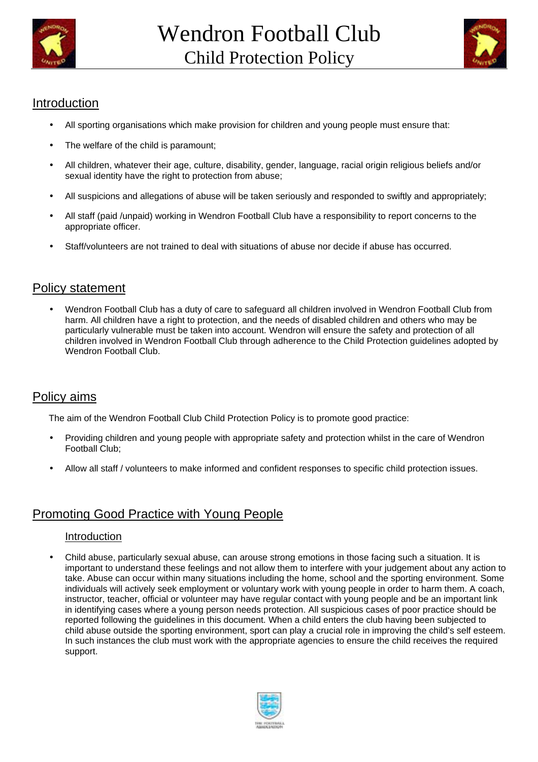



# Introduction

- All sporting organisations which make provision for children and young people must ensure that:
- The welfare of the child is paramount;
- All children, whatever their age, culture, disability, gender, language, racial origin religious beliefs and/or sexual identity have the right to protection from abuse;
- All suspicions and allegations of abuse will be taken seriously and responded to swiftly and appropriately;
- All staff (paid /unpaid) working in Wendron Football Club have a responsibility to report concerns to the appropriate officer.
- Staff/volunteers are not trained to deal with situations of abuse nor decide if abuse has occurred.

# Policy statement

• Wendron Football Club has a duty of care to safeguard all children involved in Wendron Football Club from harm. All children have a right to protection, and the needs of disabled children and others who may be particularly vulnerable must be taken into account. Wendron will ensure the safety and protection of all children involved in Wendron Football Club through adherence to the Child Protection guidelines adopted by Wendron Football Club.

# Policy aims

The aim of the Wendron Football Club Child Protection Policy is to promote good practice:

- Providing children and young people with appropriate safety and protection whilst in the care of Wendron Football Club;
- Allow all staff / volunteers to make informed and confident responses to specific child protection issues.

# Promoting Good Practice with Young People

#### Introduction

• Child abuse, particularly sexual abuse, can arouse strong emotions in those facing such a situation. It is important to understand these feelings and not allow them to interfere with your judgement about any action to take. Abuse can occur within many situations including the home, school and the sporting environment. Some individuals will actively seek employment or voluntary work with young people in order to harm them. A coach, instructor, teacher, official or volunteer may have regular contact with young people and be an important link in identifying cases where a young person needs protection. All suspicious cases of poor practice should be reported following the guidelines in this document. When a child enters the club having been subjected to child abuse outside the sporting environment, sport can play a crucial role in improving the child's self esteem. In such instances the club must work with the appropriate agencies to ensure the child receives the required support.

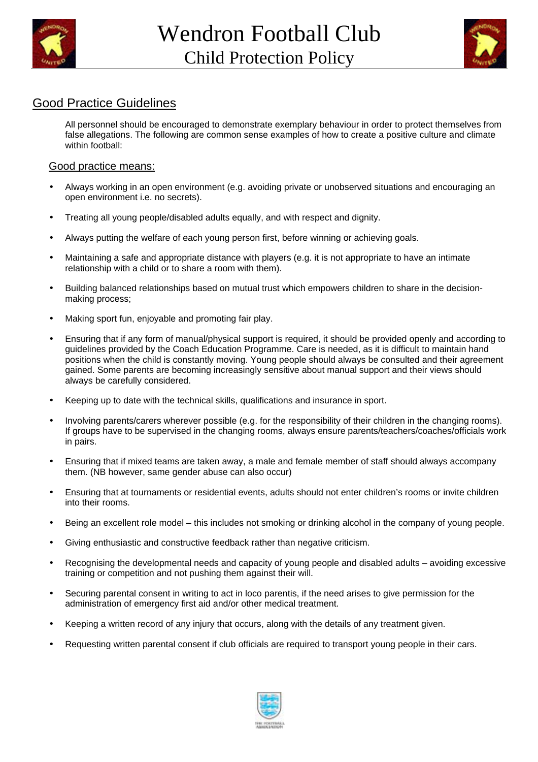



# Good Practice Guidelines

All personnel should be encouraged to demonstrate exemplary behaviour in order to protect themselves from false allegations. The following are common sense examples of how to create a positive culture and climate within football:

#### Good practice means:

- Always working in an open environment (e.g. avoiding private or unobserved situations and encouraging an open environment i.e. no secrets).
- Treating all young people/disabled adults equally, and with respect and dignity.
- Always putting the welfare of each young person first, before winning or achieving goals.
- Maintaining a safe and appropriate distance with players (e.g. it is not appropriate to have an intimate relationship with a child or to share a room with them).
- Building balanced relationships based on mutual trust which empowers children to share in the decisionmaking process;
- Making sport fun, enjoyable and promoting fair play.
- Ensuring that if any form of manual/physical support is required, it should be provided openly and according to guidelines provided by the Coach Education Programme. Care is needed, as it is difficult to maintain hand positions when the child is constantly moving. Young people should always be consulted and their agreement gained. Some parents are becoming increasingly sensitive about manual support and their views should always be carefully considered.
- Keeping up to date with the technical skills, qualifications and insurance in sport.
- Involving parents/carers wherever possible (e.g. for the responsibility of their children in the changing rooms). If groups have to be supervised in the changing rooms, always ensure parents/teachers/coaches/officials work in pairs.
- Ensuring that if mixed teams are taken away, a male and female member of staff should always accompany them. (NB however, same gender abuse can also occur)
- Ensuring that at tournaments or residential events, adults should not enter children's rooms or invite children into their rooms.
- Being an excellent role model this includes not smoking or drinking alcohol in the company of young people.
- Giving enthusiastic and constructive feedback rather than negative criticism.
- Recognising the developmental needs and capacity of young people and disabled adults avoiding excessive training or competition and not pushing them against their will.
- Securing parental consent in writing to act in loco parentis, if the need arises to give permission for the administration of emergency first aid and/or other medical treatment.
- Keeping a written record of any injury that occurs, along with the details of any treatment given.
- Requesting written parental consent if club officials are required to transport young people in their cars.

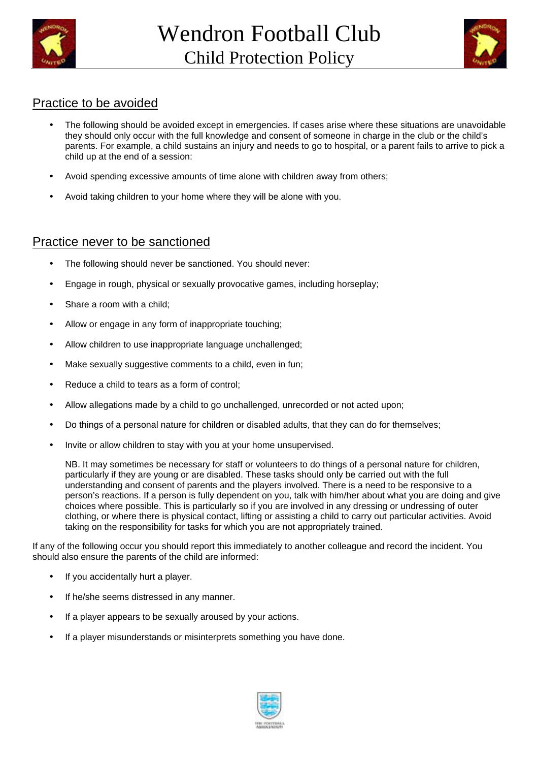



#### Practice to be avoided

- The following should be avoided except in emergencies. If cases arise where these situations are unavoidable they should only occur with the full knowledge and consent of someone in charge in the club or the child's parents. For example, a child sustains an injury and needs to go to hospital, or a parent fails to arrive to pick a child up at the end of a session:
- Avoid spending excessive amounts of time alone with children away from others;
- Avoid taking children to your home where they will be alone with you.

#### Practice never to be sanctioned

- The following should never be sanctioned. You should never:
- Engage in rough, physical or sexually provocative games, including horseplay;
- Share a room with a child:
- Allow or engage in any form of inappropriate touching;
- Allow children to use inappropriate language unchallenged:
- Make sexually suggestive comments to a child, even in fun;
- Reduce a child to tears as a form of control;
- Allow allegations made by a child to go unchallenged, unrecorded or not acted upon;
- Do things of a personal nature for children or disabled adults, that they can do for themselves;
- Invite or allow children to stay with you at your home unsupervised.

NB. It may sometimes be necessary for staff or volunteers to do things of a personal nature for children, particularly if they are young or are disabled. These tasks should only be carried out with the full understanding and consent of parents and the players involved. There is a need to be responsive to a person's reactions. If a person is fully dependent on you, talk with him/her about what you are doing and give choices where possible. This is particularly so if you are involved in any dressing or undressing of outer clothing, or where there is physical contact, lifting or assisting a child to carry out particular activities. Avoid taking on the responsibility for tasks for which you are not appropriately trained.

If any of the following occur you should report this immediately to another colleague and record the incident. You should also ensure the parents of the child are informed:

- If you accidentally hurt a player.
- If he/she seems distressed in any manner.
- If a player appears to be sexually aroused by your actions.
- If a player misunderstands or misinterprets something you have done.

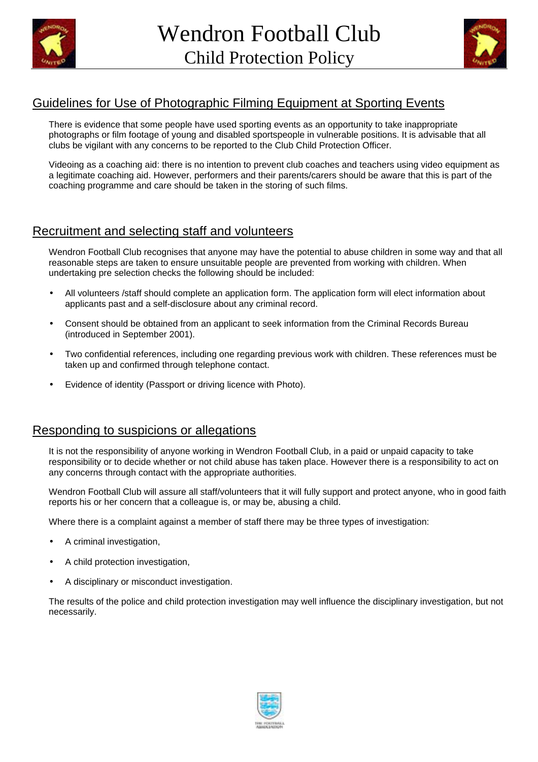



# Guidelines for Use of Photographic Filming Equipment at Sporting Events

There is evidence that some people have used sporting events as an opportunity to take inappropriate photographs or film footage of young and disabled sportspeople in vulnerable positions. It is advisable that all clubs be vigilant with any concerns to be reported to the Club Child Protection Officer.

Videoing as a coaching aid: there is no intention to prevent club coaches and teachers using video equipment as a legitimate coaching aid. However, performers and their parents/carers should be aware that this is part of the coaching programme and care should be taken in the storing of such films.

# Recruitment and selecting staff and volunteers

Wendron Football Club recognises that anyone may have the potential to abuse children in some way and that all reasonable steps are taken to ensure unsuitable people are prevented from working with children. When undertaking pre selection checks the following should be included:

- All volunteers /staff should complete an application form. The application form will elect information about applicants past and a self-disclosure about any criminal record.
- Consent should be obtained from an applicant to seek information from the Criminal Records Bureau (introduced in September 2001).
- Two confidential references, including one regarding previous work with children. These references must be taken up and confirmed through telephone contact.
- Evidence of identity (Passport or driving licence with Photo).

# Responding to suspicions or allegations

It is not the responsibility of anyone working in Wendron Football Club, in a paid or unpaid capacity to take responsibility or to decide whether or not child abuse has taken place. However there is a responsibility to act on any concerns through contact with the appropriate authorities.

Wendron Football Club will assure all staff/volunteers that it will fully support and protect anyone, who in good faith reports his or her concern that a colleague is, or may be, abusing a child.

Where there is a complaint against a member of staff there may be three types of investigation:

- A criminal investigation,
- A child protection investigation,
- A disciplinary or misconduct investigation.

The results of the police and child protection investigation may well influence the disciplinary investigation, but not necessarily.

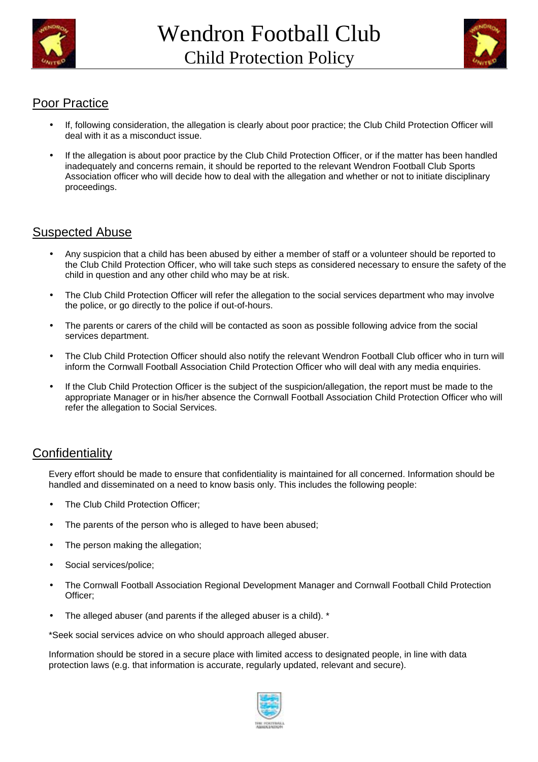



# Poor Practice

- If, following consideration, the allegation is clearly about poor practice; the Club Child Protection Officer will deal with it as a misconduct issue.
- If the allegation is about poor practice by the Club Child Protection Officer, or if the matter has been handled inadequately and concerns remain, it should be reported to the relevant Wendron Football Club Sports Association officer who will decide how to deal with the allegation and whether or not to initiate disciplinary proceedings.

# Suspected Abuse

- Any suspicion that a child has been abused by either a member of staff or a volunteer should be reported to the Club Child Protection Officer, who will take such steps as considered necessary to ensure the safety of the child in question and any other child who may be at risk.
- The Club Child Protection Officer will refer the allegation to the social services department who may involve the police, or go directly to the police if out-of-hours.
- The parents or carers of the child will be contacted as soon as possible following advice from the social services department.
- The Club Child Protection Officer should also notify the relevant Wendron Football Club officer who in turn will inform the Cornwall Football Association Child Protection Officer who will deal with any media enquiries.
- If the Club Child Protection Officer is the subject of the suspicion/allegation, the report must be made to the appropriate Manager or in his/her absence the Cornwall Football Association Child Protection Officer who will refer the allegation to Social Services.

# **Confidentiality**

Every effort should be made to ensure that confidentiality is maintained for all concerned. Information should be handled and disseminated on a need to know basis only. This includes the following people:

- The Club Child Protection Officer;
- The parents of the person who is alleged to have been abused;
- The person making the allegation;
- Social services/police;
- The Cornwall Football Association Regional Development Manager and Cornwall Football Child Protection Officer;
- The alleged abuser (and parents if the alleged abuser is a child). \*

\*Seek social services advice on who should approach alleged abuser.

Information should be stored in a secure place with limited access to designated people, in line with data protection laws (e.g. that information is accurate, regularly updated, relevant and secure).

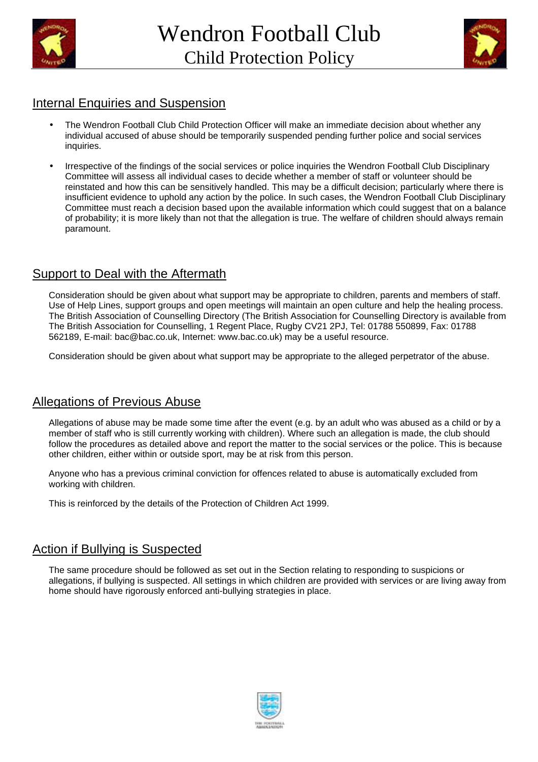



#### Internal Enquiries and Suspension

- The Wendron Football Club Child Protection Officer will make an immediate decision about whether any individual accused of abuse should be temporarily suspended pending further police and social services inquiries.
- Irrespective of the findings of the social services or police inquiries the Wendron Football Club Disciplinary Committee will assess all individual cases to decide whether a member of staff or volunteer should be reinstated and how this can be sensitively handled. This may be a difficult decision; particularly where there is insufficient evidence to uphold any action by the police. In such cases, the Wendron Football Club Disciplinary Committee must reach a decision based upon the available information which could suggest that on a balance of probability; it is more likely than not that the allegation is true. The welfare of children should always remain paramount.

# Support to Deal with the Aftermath

Consideration should be given about what support may be appropriate to children, parents and members of staff. Use of Help Lines, support groups and open meetings will maintain an open culture and help the healing process. The British Association of Counselling Directory (The British Association for Counselling Directory is available from The British Association for Counselling, 1 Regent Place, Rugby CV21 2PJ, Tel: 01788 550899, Fax: 01788 562189, E-mail: bac@bac.co.uk, Internet: www.bac.co.uk) may be a useful resource.

Consideration should be given about what support may be appropriate to the alleged perpetrator of the abuse.

# Allegations of Previous Abuse

Allegations of abuse may be made some time after the event (e.g. by an adult who was abused as a child or by a member of staff who is still currently working with children). Where such an allegation is made, the club should follow the procedures as detailed above and report the matter to the social services or the police. This is because other children, either within or outside sport, may be at risk from this person.

Anyone who has a previous criminal conviction for offences related to abuse is automatically excluded from working with children.

This is reinforced by the details of the Protection of Children Act 1999.

#### Action if Bullying is Suspected

The same procedure should be followed as set out in the Section relating to responding to suspicions or allegations, if bullying is suspected. All settings in which children are provided with services or are living away from home should have rigorously enforced anti-bullying strategies in place.

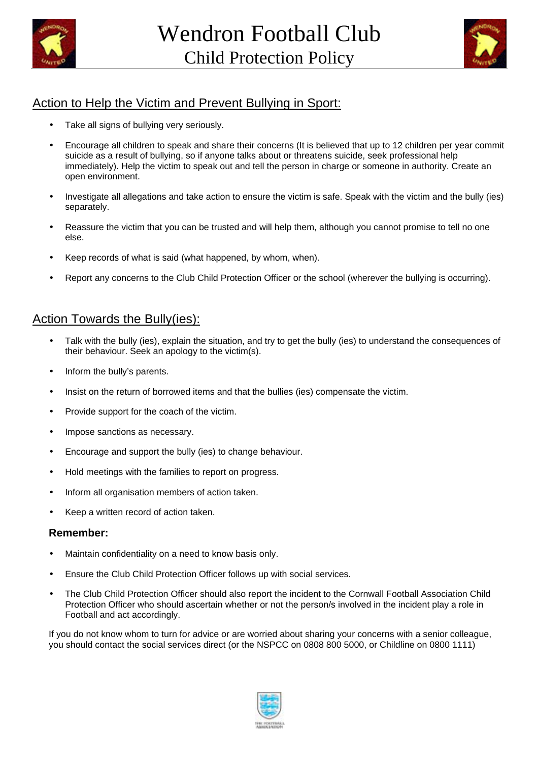



# Action to Help the Victim and Prevent Bullying in Sport:

- Take all signs of bullying very seriously.
- Encourage all children to speak and share their concerns (It is believed that up to 12 children per year commit suicide as a result of bullying, so if anyone talks about or threatens suicide, seek professional help immediately). Help the victim to speak out and tell the person in charge or someone in authority. Create an open environment.
- Investigate all allegations and take action to ensure the victim is safe. Speak with the victim and the bully (ies) separately.
- Reassure the victim that you can be trusted and will help them, although you cannot promise to tell no one else.
- Keep records of what is said (what happened, by whom, when).
- Report any concerns to the Club Child Protection Officer or the school (wherever the bullying is occurring).

# Action Towards the Bully(ies):

- Talk with the bully (ies), explain the situation, and try to get the bully (ies) to understand the consequences of their behaviour. Seek an apology to the victim(s).
- Inform the bully's parents.
- Insist on the return of borrowed items and that the bullies (ies) compensate the victim.
- Provide support for the coach of the victim.
- Impose sanctions as necessary.
- Encourage and support the bully (ies) to change behaviour.
- Hold meetings with the families to report on progress.
- Inform all organisation members of action taken.
- Keep a written record of action taken.

#### **Remember:**

- Maintain confidentiality on a need to know basis only.
- Ensure the Club Child Protection Officer follows up with social services.
- The Club Child Protection Officer should also report the incident to the Cornwall Football Association Child Protection Officer who should ascertain whether or not the person/s involved in the incident play a role in Football and act accordingly.

If you do not know whom to turn for advice or are worried about sharing your concerns with a senior colleague, you should contact the social services direct (or the NSPCC on 0808 800 5000, or Childline on 0800 1111)